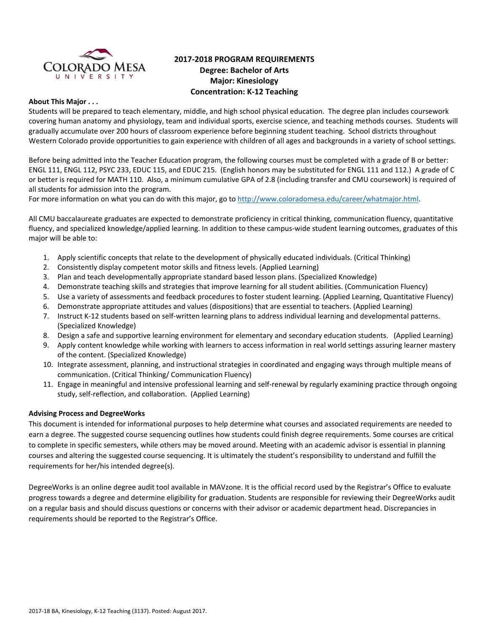

# **2017‐2018 PROGRAM REQUIREMENTS Degree: Bachelor of Arts Major: Kinesiology Concentration: K‐12 Teaching**

### **About This Major . . .**

Students will be prepared to teach elementary, middle, and high school physical education. The degree plan includes coursework covering human anatomy and physiology, team and individual sports, exercise science, and teaching methods courses. Students will gradually accumulate over 200 hours of classroom experience before beginning student teaching. School districts throughout Western Colorado provide opportunities to gain experience with children of all ages and backgrounds in a variety of school settings.

Before being admitted into the Teacher Education program, the following courses must be completed with a grade of B or better: ENGL 111, ENGL 112, PSYC 233, EDUC 115, and EDUC 215. (English honors may be substituted for ENGL 111 and 112.) A grade of C or better is required for MATH 110. Also, a minimum cumulative GPA of 2.8 (including transfer and CMU coursework) is required of all students for admission into the program.

For more information on what you can do with this major, go to http://www.coloradomesa.edu/career/whatmajor.html.

All CMU baccalaureate graduates are expected to demonstrate proficiency in critical thinking, communication fluency, quantitative fluency, and specialized knowledge/applied learning. In addition to these campus-wide student learning outcomes, graduates of this major will be able to:

- 1. Apply scientific concepts that relate to the development of physically educated individuals. (Critical Thinking)
- 2. Consistently display competent motor skills and fitness levels. (Applied Learning)
- 3. Plan and teach developmentally appropriate standard based lesson plans. (Specialized Knowledge)
- 4. Demonstrate teaching skills and strategies that improve learning for all student abilities. (Communication Fluency)
- 5. Use a variety of assessments and feedback procedures to foster student learning. (Applied Learning, Quantitative Fluency)
- 6. Demonstrate appropriate attitudes and values (dispositions) that are essential to teachers. (Applied Learning)
- 7. Instruct K‐12 students based on self‐written learning plans to address individual learning and developmental patterns. (Specialized Knowledge)
- 8. Design a safe and supportive learning environment for elementary and secondary education students. (Applied Learning)
- 9. Apply content knowledge while working with learners to access information in real world settings assuring learner mastery of the content. (Specialized Knowledge)
- 10. Integrate assessment, planning, and instructional strategies in coordinated and engaging ways through multiple means of communication. (Critical Thinking/ Communication Fluency)
- 11. Engage in meaningful and intensive professional learning and self‐renewal by regularly examining practice through ongoing study, self-reflection, and collaboration. (Applied Learning)

#### **Advising Process and DegreeWorks**

This document is intended for informational purposes to help determine what courses and associated requirements are needed to earn a degree. The suggested course sequencing outlines how students could finish degree requirements. Some courses are critical to complete in specific semesters, while others may be moved around. Meeting with an academic advisor is essential in planning courses and altering the suggested course sequencing. It is ultimately the student's responsibility to understand and fulfill the requirements for her/his intended degree(s).

DegreeWorks is an online degree audit tool available in MAVzone. It is the official record used by the Registrar's Office to evaluate progress towards a degree and determine eligibility for graduation. Students are responsible for reviewing their DegreeWorks audit on a regular basis and should discuss questions or concerns with their advisor or academic department head. Discrepancies in requirements should be reported to the Registrar's Office.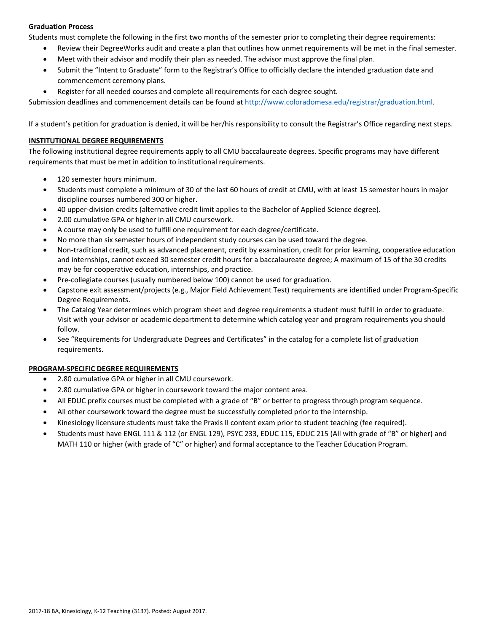# **Graduation Process**

Students must complete the following in the first two months of the semester prior to completing their degree requirements:

- Review their DegreeWorks audit and create a plan that outlines how unmet requirements will be met in the final semester.
- Meet with their advisor and modify their plan as needed. The advisor must approve the final plan.
- Submit the "Intent to Graduate" form to the Registrar's Office to officially declare the intended graduation date and commencement ceremony plans.
- Register for all needed courses and complete all requirements for each degree sought.

Submission deadlines and commencement details can be found at http://www.coloradomesa.edu/registrar/graduation.html.

If a student's petition for graduation is denied, it will be her/his responsibility to consult the Registrar's Office regarding next steps.

# **INSTITUTIONAL DEGREE REQUIREMENTS**

The following institutional degree requirements apply to all CMU baccalaureate degrees. Specific programs may have different requirements that must be met in addition to institutional requirements.

- 120 semester hours minimum.
- Students must complete a minimum of 30 of the last 60 hours of credit at CMU, with at least 15 semester hours in major discipline courses numbered 300 or higher.
- 40 upper‐division credits (alternative credit limit applies to the Bachelor of Applied Science degree).
- 2.00 cumulative GPA or higher in all CMU coursework.
- A course may only be used to fulfill one requirement for each degree/certificate.
- No more than six semester hours of independent study courses can be used toward the degree.
- Non-traditional credit, such as advanced placement, credit by examination, credit for prior learning, cooperative education and internships, cannot exceed 30 semester credit hours for a baccalaureate degree; A maximum of 15 of the 30 credits may be for cooperative education, internships, and practice.
- Pre‐collegiate courses (usually numbered below 100) cannot be used for graduation.
- Capstone exit assessment/projects (e.g., Major Field Achievement Test) requirements are identified under Program‐Specific Degree Requirements.
- The Catalog Year determines which program sheet and degree requirements a student must fulfill in order to graduate. Visit with your advisor or academic department to determine which catalog year and program requirements you should follow.
- See "Requirements for Undergraduate Degrees and Certificates" in the catalog for a complete list of graduation requirements.

#### **PROGRAM‐SPECIFIC DEGREE REQUIREMENTS**

- 2.80 cumulative GPA or higher in all CMU coursework.
- 2.80 cumulative GPA or higher in coursework toward the major content area.
- All EDUC prefix courses must be completed with a grade of "B" or better to progress through program sequence.
- All other coursework toward the degree must be successfully completed prior to the internship.
- Kinesiology licensure students must take the Praxis II content exam prior to student teaching (fee required).
- Students must have ENGL 111 & 112 (or ENGL 129), PSYC 233, EDUC 115, EDUC 215 (All with grade of "B" or higher) and MATH 110 or higher (with grade of "C" or higher) and formal acceptance to the Teacher Education Program.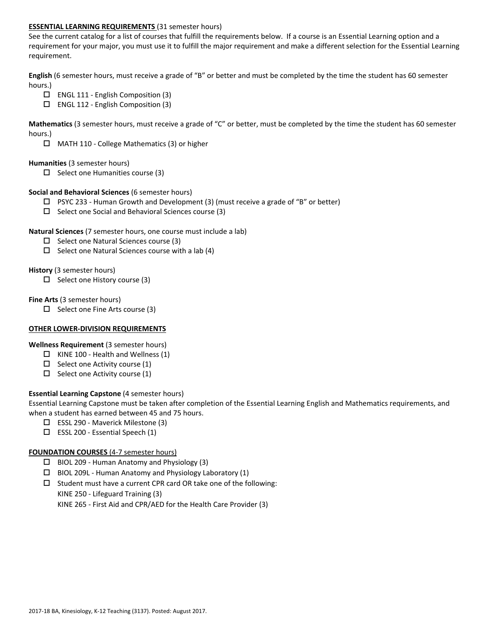### **ESSENTIAL LEARNING REQUIREMENTS** (31 semester hours)

See the current catalog for a list of courses that fulfill the requirements below. If a course is an Essential Learning option and a requirement for your major, you must use it to fulfill the major requirement and make a different selection for the Essential Learning requirement.

**English** (6 semester hours, must receive a grade of "B" or better and must be completed by the time the student has 60 semester hours.)

- ENGL 111 ‐ English Composition (3)
- ENGL 112 ‐ English Composition (3)

**Mathematics** (3 semester hours, must receive a grade of "C" or better, must be completed by the time the student has 60 semester hours.)

MATH 110 ‐ College Mathematics (3) or higher

### **Humanities** (3 semester hours)

 $\square$  Select one Humanities course (3)

### **Social and Behavioral Sciences** (6 semester hours)

- $\Box$  PSYC 233 Human Growth and Development (3) (must receive a grade of "B" or better)
- $\square$  Select one Social and Behavioral Sciences course (3)

#### **Natural Sciences** (7 semester hours, one course must include a lab)

- $\square$  Select one Natural Sciences course (3)
- $\Box$  Select one Natural Sciences course with a lab (4)

### **History** (3 semester hours)

 $\Box$  Select one History course (3)

### **Fine Arts** (3 semester hours)

 $\Box$  Select one Fine Arts course (3)

#### **OTHER LOWER‐DIVISION REQUIREMENTS**

**Wellness Requirement** (3 semester hours)

- $\Box$  KINE 100 Health and Wellness (1)
- $\Box$  Select one Activity course (1)
- $\Box$  Select one Activity course (1)

# **Essential Learning Capstone** (4 semester hours)

Essential Learning Capstone must be taken after completion of the Essential Learning English and Mathematics requirements, and when a student has earned between 45 and 75 hours.

- ESSL 290 ‐ Maverick Milestone (3)
- $\square$  ESSL 200 Essential Speech (1)

# **FOUNDATION COURSES** (4‐7 semester hours)

- BIOL 209 ‐ Human Anatomy and Physiology (3)
- $\Box$  BIOL 209L Human Anatomy and Physiology Laboratory (1)
- $\square$  Student must have a current CPR card OR take one of the following: KINE 250 ‐ Lifeguard Training (3)

KINE 265 ‐ First Aid and CPR/AED for the Health Care Provider (3)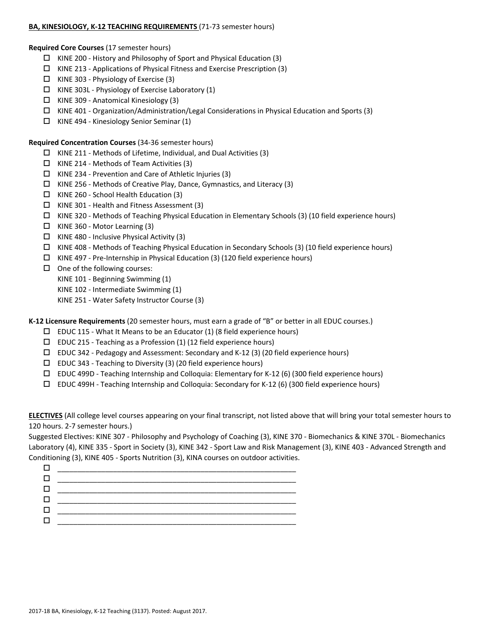### BA, KINESIOLOGY, K-12 TEACHING REQUIREMENTS (71-73 semester hours)

**Required Core Courses** (17 semester hours)

- $\Box$  KINE 200 History and Philosophy of Sport and Physical Education (3)
- $\Box$  KINE 213 Applications of Physical Fitness and Exercise Prescription (3)
- $\Box$  KINE 303 Physiology of Exercise (3)
- $\Box$  KINE 303L Physiology of Exercise Laboratory (1)
- KINE 309 ‐ Anatomical Kinesiology (3)
- $\Box$  KINE 401 Organization/Administration/Legal Considerations in Physical Education and Sports (3)
- KINE 494 ‐ Kinesiology Senior Seminar (1)

**Required Concentration Courses** (34‐36 semester hours)

- $\Box$  KINE 211 Methods of Lifetime, Individual, and Dual Activities (3)
- $\Box$  KINE 214 Methods of Team Activities (3)
- $\Box$  KINE 234 Prevention and Care of Athletic Injuries (3)
- KINE 256 ‐ Methods of Creative Play, Dance, Gymnastics, and Literacy (3)
- $\Box$  KINE 260 School Health Education (3)
- $\Box$  KINE 301 Health and Fitness Assessment (3)
- $\Box$  KINE 320 Methods of Teaching Physical Education in Elementary Schools (3) (10 field experience hours)
- $\Box$  KINE 360 Motor Learning (3)
- $\Box$  KINE 480 Inclusive Physical Activity (3)
- KINE 408 ‐ Methods of Teaching Physical Education in Secondary Schools (3) (10 field experience hours)
- KINE 497 ‐ Pre‐Internship in Physical Education (3) (120 field experience hours)
- $\Box$  One of the following courses:
	- KINE 101 ‐ Beginning Swimming (1)
	- KINE 102 ‐ Intermediate Swimming (1)
	- KINE 251 ‐ Water Safety Instructor Course (3)

**K‐12 Licensure Requirements** (20 semester hours, must earn a grade of "B" or better in all EDUC courses.)

- $\square$  EDUC 115 What It Means to be an Educator (1) (8 field experience hours)
- $\square$  EDUC 215 Teaching as a Profession (1) (12 field experience hours)
- EDUC 342 ‐ Pedagogy and Assessment: Secondary and K‐12 (3) (20 field experience hours)
- $\square$  EDUC 343 Teaching to Diversity (3) (20 field experience hours)
- EDUC 499D ‐ Teaching Internship and Colloquia: Elementary for K‐12 (6) (300 field experience hours)
- EDUC 499H ‐ Teaching Internship and Colloquia: Secondary for K‐12 (6) (300 field experience hours)

**ELECTIVES** (All college level courses appearing on your final transcript, not listed above that will bring your total semester hours to 120 hours. 2‐7 semester hours.)

Suggested Electives: KINE 307 ‐ Philosophy and Psychology of Coaching (3), KINE 370 ‐ Biomechanics & KINE 370L ‐ Biomechanics Laboratory (4), KINE 335 ‐ Sport in Society (3), KINE 342 ‐ Sport Law and Risk Management (3), KINE 403 ‐ Advanced Strength and Conditioning (3), KINE 405 ‐ Sports Nutrition (3), KINA courses on outdoor activities.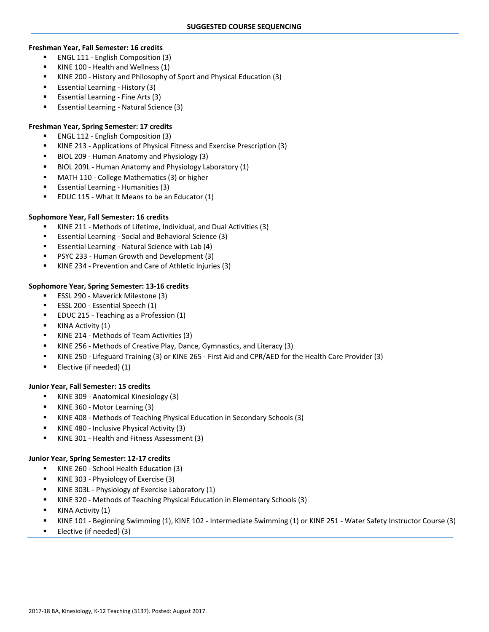#### **Freshman Year, Fall Semester: 16 credits**

- ENGL 111 ‐ English Composition (3)
- KINE 100 ‐ Health and Wellness (1)
- KINE 200 History and Philosophy of Sport and Physical Education (3)
- Essential Learning ‐ History (3)
- Essential Learning ‐ Fine Arts (3)
- Essential Learning Natural Science (3)

# **Freshman Year, Spring Semester: 17 credits**

- ENGL 112 English Composition (3)
- KINE 213 ‐ Applications of Physical Fitness and Exercise Prescription (3)
- BIOL 209 ‐ Human Anatomy and Physiology (3)
- BIOL 209L ‐ Human Anatomy and Physiology Laboratory (1)
- MATH 110 ‐ College Mathematics (3) or higher
- Essential Learning ‐ Humanities (3)
- EDUC 115 ‐ What It Means to be an Educator (1)

### **Sophomore Year, Fall Semester: 16 credits**

- KINE 211 ‐ Methods of Lifetime, Individual, and Dual Activities (3)
- Essential Learning ‐ Social and Behavioral Science (3)
- Essential Learning ‐ Natural Science with Lab (4)
- PSYC 233 ‐ Human Growth and Development (3)
- KINE 234 ‐ Prevention and Care of Athletic Injuries (3)

#### **Sophomore Year, Spring Semester: 13‐16 credits**

- ESSL 290 Maverick Milestone (3)
- ESSL 200 Essential Speech (1)
- EDUC 215 ‐ Teaching as a Profession (1)
- KINA Activity (1)
- KINE 214 ‐ Methods of Team Activities (3)
- KINE 256 ‐ Methods of Creative Play, Dance, Gymnastics, and Literacy (3)
- KINE 250 ‐ Lifeguard Training (3) or KINE 265 ‐ First Aid and CPR/AED for the Health Care Provider (3)
- Elective (if needed)  $(1)$

#### **Junior Year, Fall Semester: 15 credits**

- KINE 309 ‐ Anatomical Kinesiology (3)
- KINE 360 ‐ Motor Learning (3)
- KINE 408 ‐ Methods of Teaching Physical Education in Secondary Schools (3)
- KINE 480 ‐ Inclusive Physical Activity (3)
- KINE 301 ‐ Health and Fitness Assessment (3)

#### **Junior Year, Spring Semester: 12‐17 credits**

- KINE 260 School Health Education (3)
- KINE 303 ‐ Physiology of Exercise (3)
- KINE 303L ‐ Physiology of Exercise Laboratory (1)
- KINE 320 ‐ Methods of Teaching Physical Education in Elementary Schools (3)
- KINA Activity (1)
- KINE 101 ‐ Beginning Swimming (1), KINE 102 ‐ Intermediate Swimming (1) or KINE 251 ‐ Water Safety Instructor Course (3)
- Elective (if needed) (3)